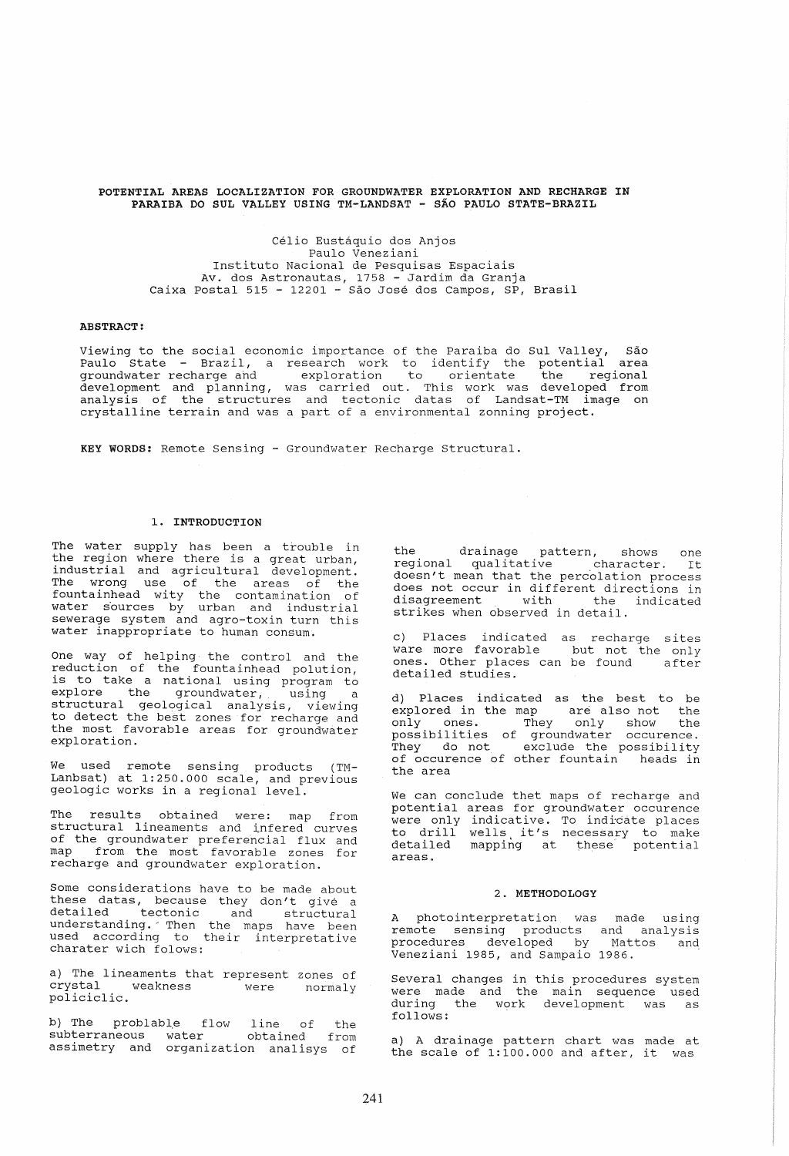## POTENTIAL AREAS LOCALIZATION FOR GROUNDWATER EXPLORATION AND RECHARGE IN PARAIBA DO SUL VALLEY USING TM-LANDSAT - SAO PAULO STATE-BRAZIL

Celio Eustaquio dos Anjos Paulo Veneziani Instituto Nacional de Pesquisas Espaciais Av. dos Astronautas, 1758 - Jardim da Granja Caixa Postal 515 - 12201 - Sao Jose dos Campos, SP, Brasil

# ABSTRACT:

Viewing to the social economic importance of the Paraiba do Sul Valley, São<br>Prile Chate – Prazil – research work to identify the potential area Paulo State - Brazil, a research work to identify the potential area groundwater recharge and exploration to orientate the regional development and planning, was carried out. This work was developed from analysis of the structures and tectonic datas of Landsat-TM image on crystalline terrain and was a part of a environmental zonning project.

KEY WORDS: Remote Sensing - Groundwater Recharge Structural.

#### 1. INTRODUCTION

The water supply has been a trouble in the region where there is a great urban, industrial and agricultural development. The wrong use of the areas of the fountainhead wity the contamination of water s'ources by urban and industrial sewerage system and agro-toxin turn this water inappropriate to human consum.

One way of helping the control and the reduction of the fountainhead polution, is to take a national using program to<br>explore the groundwater, using a explore the groundwater, using a structural geological analysis, viewing to detect the best zones for recharge and the most favorable areas for groundwater exploration.

We used remote sensing products (TM-Lanbsat) at 1:250.000 scale, and previous geologic works in a regional level.

The results obtained were: map from structural lineaments and infered curves<br>of the groundwater preferencial flux and map from the most favorable zones for recharge and groundwater exploration.

Some considerations have to be made about These datas, because they don't give a<br>these datas, because they don't give a<br>detailed tectonic and structural understanding. 'Then the maps have been and building. Their the maps have been charater wich folows:

a) The lineaments that represent zones of crystal weakness were normaly policiclic.

b) The problable flow line of the subterraneous water obtained from assimetry and organization analisys of the drainage pattern, shows one regional qualitative character. It doesn't mean that the percolation process does not occur in different directions in disagreement with the indicated strikes when observed in detail.

c) Places indicated as recharge sites ware more favorable but not the only ones. Other places can be found after detailed studies.

d) Places indicated as the best to be explored in the map are also not the only ones. They only show the possibilities of groundwater occurence. They do not exclude the possibility of occurence of other fountain heads in the area

We can conclude thet maps of recharge and<br>potential areas for groundwater occurence were only indicative. To indicate places were only indicative. To indicate places<br>to drill wells it's necessary to make co which world is necessary to make<br>detailed mapping at these potential<br>areas.

#### 2. METHODOLOGY

A photointerpretation was made using remote sensing products and analysis procedures developed by Mattos and Veneziani 1985, and Sampaio 1986.

Several changes in this procedures system were made and the main sequence used during the work development was as<br>follows:

a) A drainage pattern chart was made at the scale of 1:100.000 and after, it was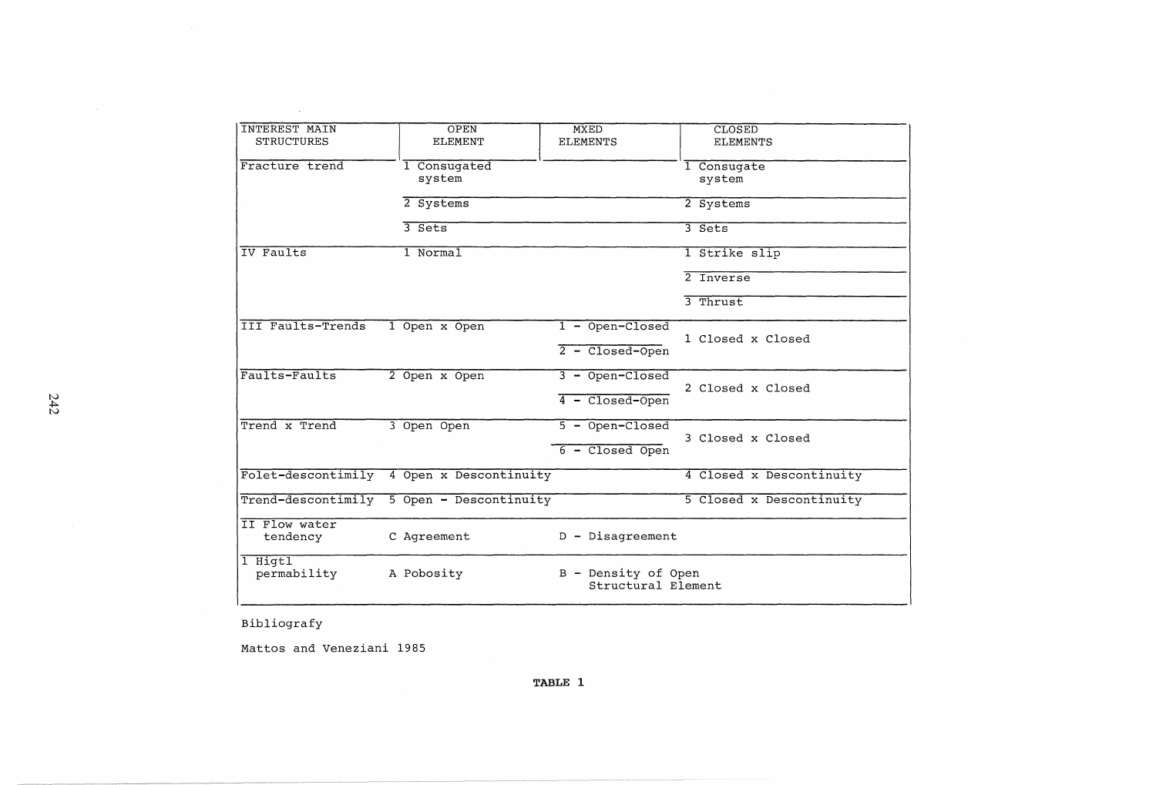| <b>INTEREST MAIN</b>    | OPEN                                                    | <b>MXED</b>        | <b>CLOSED</b>            |
|-------------------------|---------------------------------------------------------|--------------------|--------------------------|
| <b>STRUCTURES</b>       | <b>ELEMENT</b>                                          | <b>ELEMENTS</b>    | <b>ELEMENTS</b>          |
|                         |                                                         |                    |                          |
| Fracture trend          | 1 Consugated                                            |                    |                          |
|                         |                                                         |                    | 1 Consugate              |
|                         | system                                                  |                    | system                   |
|                         | 2 Systems                                               |                    | 2 Systems                |
|                         |                                                         |                    |                          |
|                         | $3$ Sets                                                |                    | 3 Sets                   |
|                         |                                                         |                    |                          |
| IV Faults               | 1 Normal                                                |                    | 1 Strike slip            |
|                         |                                                         |                    |                          |
|                         |                                                         |                    | $2$ Tnyerse              |
|                         |                                                         |                    | $3$ Thrust               |
|                         |                                                         |                    |                          |
| III Faults-Trends       | 1 Open x Open                                           | $1 -$ Open-Closed  |                          |
|                         |                                                         |                    | 1 Closed x Closed        |
|                         |                                                         | $2 - Closed-Open$  |                          |
|                         |                                                         |                    |                          |
| Faults-Faults           | 2 Open x Open                                           | $3 - Open-Closed$  |                          |
|                         |                                                         |                    | 2 Closed x Closed        |
|                         |                                                         | $4 - Closed-Open$  |                          |
|                         |                                                         |                    |                          |
| Trend x Trend           | 3 Open Open                                             | $5 - Open-Closed$  |                          |
|                         |                                                         |                    | 3 Closed x Closed        |
|                         |                                                         | $6 - Closed$ Open  |                          |
|                         | Folet-descontimily 4 Open x Descontinuity               |                    | 4 Closed x Descontinuity |
|                         |                                                         |                    |                          |
|                         | Trend-descontimily 5 Open - Descontinuity               |                    | 5 Closed x Descontinuity |
|                         |                                                         |                    |                          |
| II Flow water           |                                                         |                    |                          |
| C Agreement<br>tendency |                                                         | $D - Disagreement$ |                          |
|                         |                                                         |                    |                          |
| 1 Higtl                 |                                                         |                    |                          |
| permability             | B - Density of Open<br>A Pobosity<br>Structural Element |                    |                          |
|                         |                                                         |                    |                          |
|                         |                                                         |                    |                          |

Bibliografy

 $\sim$ 

Mattos and Veneziani 1985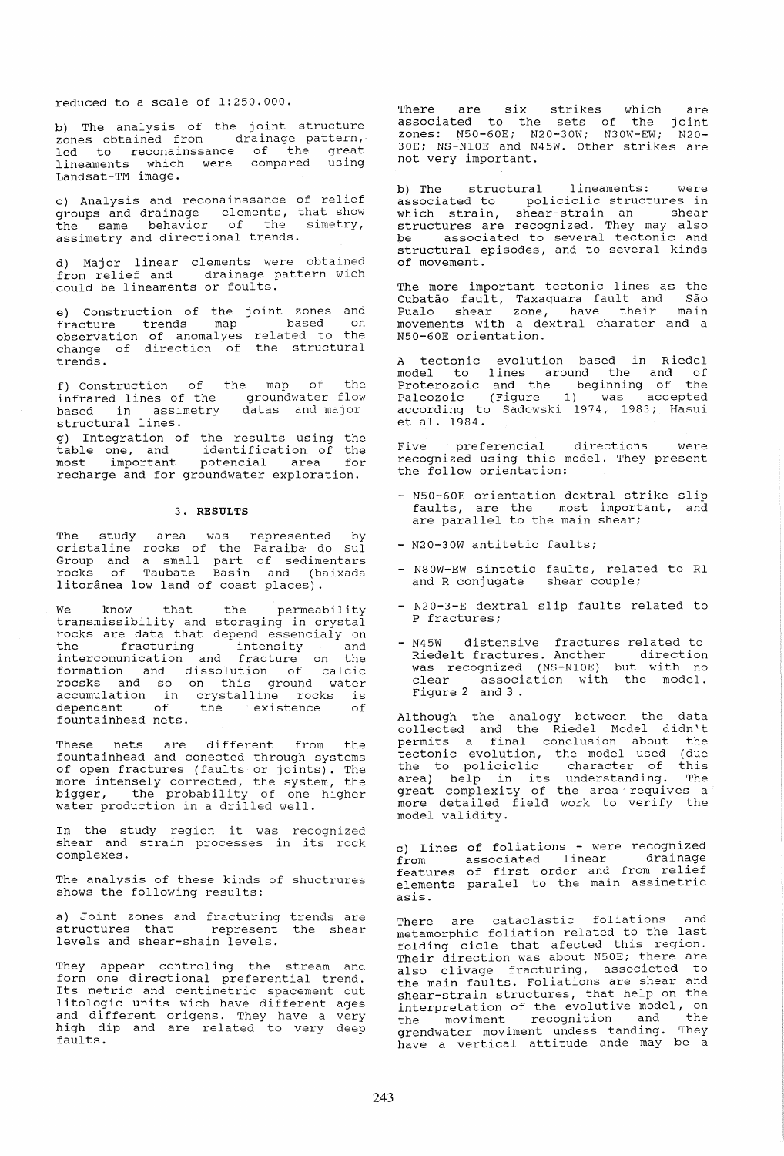reduced to a scale of 1:250.000.

b) The analysis of the joint structure zones obtained from drainage pattern,· led to reconainssance of the great lineaments which were compared using Landsat-TM image.

c) Analysis and reconainssance of relief groups and drainage elements, that show the same behavior of the simetry, assimetry and directional trends.

d) Major linear clements were obtained from relief and drainage pattern wich could be lineaments or foults.

e) Construction of the joint zones and fracture trends map of come trends map dased on<br>observation of anomalyes related to the change of direction of the structural trends.

f) Construction of infrared lines of the based in assimetry structural lines. the map of the groundwater flow datas and major

g) Integration of the results using the identification of the potencial area for table one, and most important most important potencial area for<br>recharge and for groundwater exploration.

## 3. **RESULTS**

The study area was<br>cristaline rocks of the Group and a small part rocks of Taubate Basin litoranea low land of coast represented by Paraiba· do SuI of sedimentars and (baixada places) .

We know that the permeability transmissibility and storaging in crystal<br>rocks are data that depend essencialy on rocks are data that depend essencialy on<br>the fracturing intensity and intercomunication and fracture on the formation and dissolution of calcic rocsks and so on this ground water roosho and so on enis ground water dependant of the existence of dependant of<br>fountainhead nets.

These nets are different from the fountainhead and conected through systems of open fractures (faults or joints). The more intensely corrected, the system, the more inconsery corrected, one system, one water production in a drilled well.

In the study region it was recognized shear and strain processes in its rock complexes.

The analysis of these kinds of shuctrures shows the following results:

a) Joint zones and fracturing trends are<br>structures that represent the shear levels and shear-shain levels.

They appear controling the stream and form one directional preferential trend. Its metric and centimetric spacement out litologic units wich have different ages and different origens. They have a very and difference erryone. They have a very faults.

There are six strikes which are<br>associated to the sets of the joint<br>zones: N50-60E; N20-30W; N30W-EW; N20-30E; NS-N10E and N45W. Other strikes are<br>30E; NS-N10E and N45W. Other strikes are<br>not very important.

b) The structural lineaments: were<br>associated to policiclic structures in<br>which strain, shear-strain an shear shear-strain an structures are recognized. They may also be associated to several tectonic and structural episodes, and to several kinds of movement.

The more important tectonic lines as the Cubatao fault, Taxaquara fault and Sao Pualo shear zone, have their main movements with a dextral charater and a N50-60E orientation.

A tectonic evolution based in Riedel model to lines around the and of Proterozoic and the beginning of the Paleozoic (Figure 1) was accepted according to Sadowski 1974, 1983; Hasui et al. 1984.

Five preferencial directions were recognized using this model. They present the follow orientation:

- N50-60E orientation dextral strike slip faults, are the most important, and<br>are parallel to the main shear;
- N20-30W antitetic faults;
- N80W-EW sintetic faults, related to R1 and R conjugate shear couple;
- N20-3-E dextral slip faults related to P fractures;
- N45W distensive fractures related to Riedelt fractures. Another direction was recognized (NS-N10E) but with no<br>clear association with the model. Figure 2 and 3 .

Although the analogy between the data collected and the Riedel Model didn't permits a final conclusion about the tectonic evolution, the model used (due the to policiclic character of this area) help in its understanding. The great complexity of the area requives a more detailed field work to verify the model validity.

c) Lines of foliations - were recognized from associated linear drainage features of first order and from relief elements paralel to the main assimetric asis.

There are cataclastic foliations and metamorphic foliation related to the last folding cicle that afected this region. Their direction was about N50E; there are<br>also clivage fracturing, associeted to the main faults. Foliations are shear and shear-strain structures, that help on the<br>interpretation of the evolutive model, on interpretation of the evolutive model, on the moviment recognition and the grendwater moviment undess tanding. They have a vertical attitude ande may be a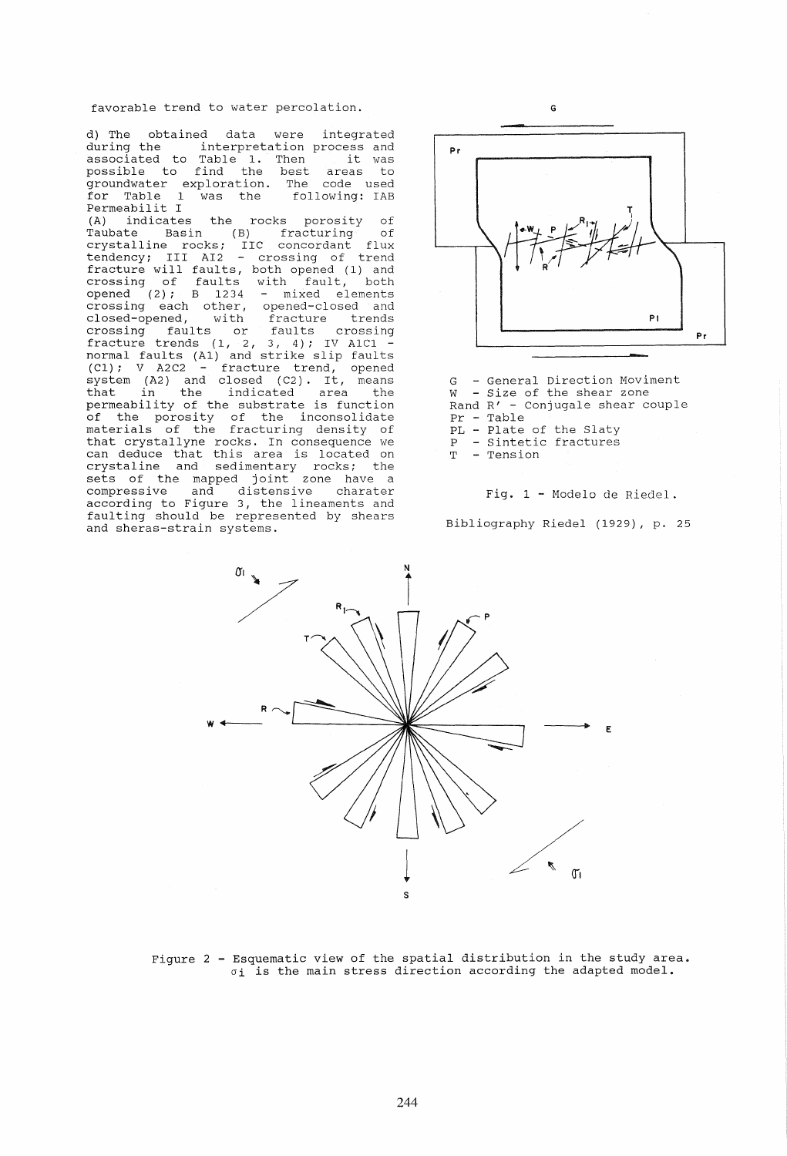favorable trend to water percolation.

d) The obtained data were integrated<br>during the interpretation process and during the interpretation process and<br>associated to Table 1. Then it was auring the the interpretation process and<br>associated to Table 1. Then tit was<br>possible to find the best areas to groundwater exploration. The code used for Table 1 was the following: IAB Permeabilit I (A) indicates the rocks porosity of Taubate Basin (B) fracturing of crystalline rocks; IIC concordant flux tendency; III AI2 crossing of trend fracture will faults, both opened (1) and<br>crossing of faults with fault, both crossing of faults with fault, both opened  $(2)$ ; B 1234 - mixed elements opened (2); B 1234 - mixed elements<br>crossing each other, opened-closed and<br>closed-opened, with fracture trends<br>crossing faults or faults crossing closed-opened, with fracture trends crossing faults or faults crossing fracture trends (1, 2, 3, 4); IV A1C1 - normal faults (A1) and strike slip faults (C1); V A2C2 - fracture trend, opened system (A2) and closed *(C2)*. It, means<br>that in the indicated area the permeability of the substrate is function of the porosity of the inconsolidate materials of the fracturing density of that crystallyne rocks. In consequence we can deduce that this area is located on can deduce that this died is focused on<br>crystaline and sedimentary rocks; the<br>sets of the mapped joint zone have a<br>compressive and distensive charater according to Figure 3, the lineaments and faulting should be represented by shears and sheras-strain systems.



- G General Direction Moviment W - Size of the shear zone Rand R' - conjugale shear couple Rand  $R'$  - Conjugale shear couple<br>Pr - Table PL - Plate of the Slaty P - Sintetic fractures T - Tension
	- Fig. 1 Modelo de Riedel

Bibliography Riedel (1929), p. 25



Figure 2 - Esquematic view of the spatial distribution in the study area.  $\sigma_1$  is the main stress direction according the adapted model.